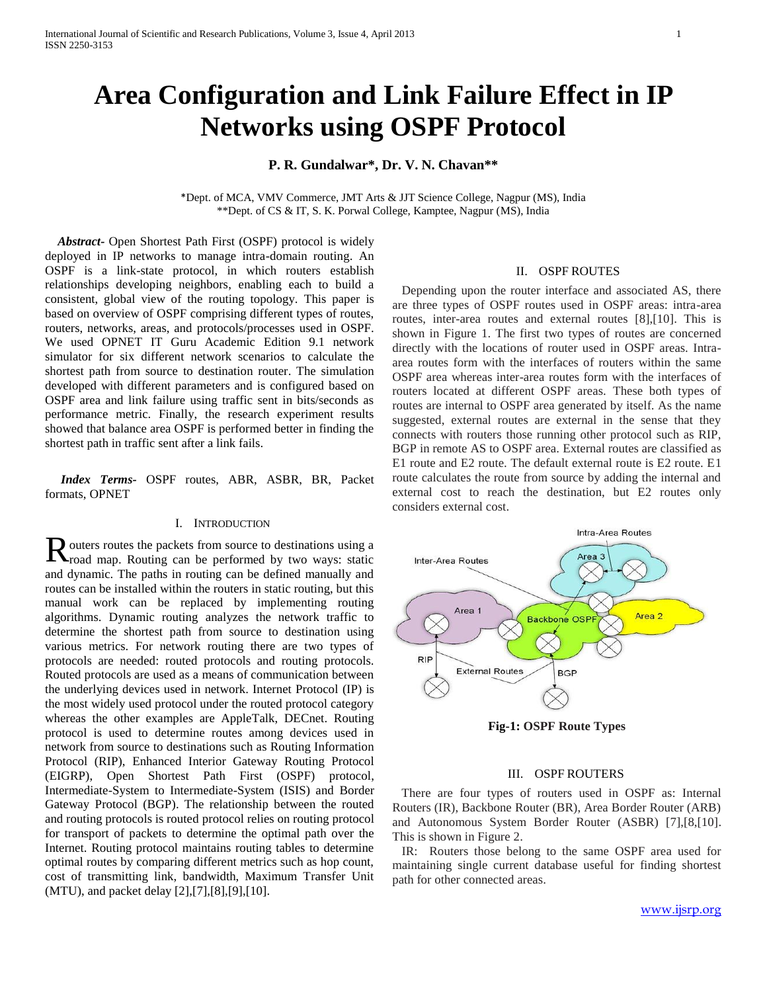# **Area Configuration and Link Failure Effect in IP Networks using OSPF Protocol**

## **P. R. Gundalwar\*, Dr. V. N. Chavan\*\***

\*Dept. of MCA, VMV Commerce, JMT Arts & JJT Science College, Nagpur (MS), India \*\*Dept. of CS & IT, S. K. Porwal College, Kamptee, Nagpur (MS), India

 *Abstract-* Open Shortest Path First (OSPF) protocol is widely deployed in IP networks to manage intra-domain routing. An OSPF is a link-state protocol, in which routers establish relationships developing neighbors, enabling each to build a consistent, global view of the routing topology. This paper is based on overview of OSPF comprising different types of routes, routers, networks, areas, and protocols/processes used in OSPF. We used OPNET IT Guru Academic Edition 9.1 network simulator for six different network scenarios to calculate the shortest path from source to destination router. The simulation developed with different parameters and is configured based on OSPF area and link failure using traffic sent in bits/seconds as performance metric. Finally, the research experiment results showed that balance area OSPF is performed better in finding the shortest path in traffic sent after a link fails.

 *Index Terms-* OSPF routes, ABR, ASBR, BR, Packet formats, OPNET

## I. INTRODUCTION

 $\bf{D}$  outers routes the packets from source to destinations using a Routers routes the packets from source to destinations using a road map. Routing can be performed by two ways: static and dynamic. The paths in routing can be defined manually and routes can be installed within the routers in static routing, but this manual work can be replaced by implementing routing algorithms. Dynamic routing analyzes the network traffic to determine the shortest path from source to destination using various metrics. For network routing there are two types of protocols are needed: routed protocols and routing protocols. Routed protocols are used as a means of communication between the underlying devices used in network. Internet Protocol (IP) is the most widely used protocol under the routed protocol category whereas the other examples are AppleTalk, DECnet. Routing protocol is used to determine routes among devices used in network from source to destinations such as Routing Information Protocol (RIP), Enhanced Interior Gateway Routing Protocol (EIGRP), Open Shortest Path First (OSPF) protocol, Intermediate-System to Intermediate-System (ISIS) and Border Gateway Protocol (BGP). The relationship between the routed and routing protocols is routed protocol relies on routing protocol for transport of packets to determine the optimal path over the Internet. Routing protocol maintains routing tables to determine optimal routes by comparing different metrics such as hop count, cost of transmitting link, bandwidth, Maximum Transfer Unit (MTU), and packet delay [2],[7],[8],[9],[10].

## II. OSPF ROUTES

 Depending upon the router interface and associated AS, there are three types of OSPF routes used in OSPF areas: intra-area routes, inter-area routes and external routes [8],[10]. This is shown in Figure 1. The first two types of routes are concerned directly with the locations of router used in OSPF areas. Intraarea routes form with the interfaces of routers within the same OSPF area whereas inter-area routes form with the interfaces of routers located at different OSPF areas. These both types of routes are internal to OSPF area generated by itself. As the name suggested, external routes are external in the sense that they connects with routers those running other protocol such as RIP, BGP in remote AS to OSPF area. External routes are classified as E1 route and E2 route. The default external route is E2 route. E1 route calculates the route from source by adding the internal and external cost to reach the destination, but E2 routes only considers external cost.



**Fig-1: OSPF Route Types**

#### III. OSPF ROUTERS

 There are four types of routers used in OSPF as: Internal Routers (IR), Backbone Router (BR), Area Border Router (ARB) and Autonomous System Border Router (ASBR) [7],[8,[10]. This is shown in Figure 2.

 IR: Routers those belong to the same OSPF area used for maintaining single current database useful for finding shortest path for other connected areas.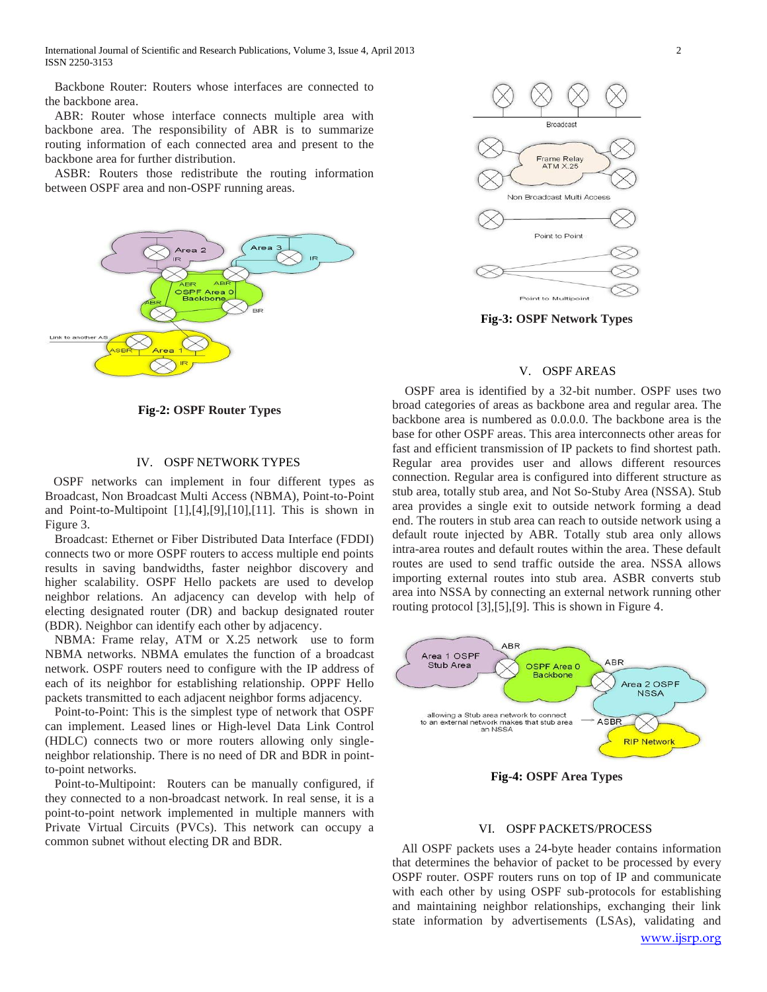International Journal of Scientific and Research Publications, Volume 3, Issue 4, April 2013 2 ISSN 2250-3153

 Backbone Router: Routers whose interfaces are connected to the backbone area.

 ABR: Router whose interface connects multiple area with backbone area. The responsibility of ABR is to summarize routing information of each connected area and present to the backbone area for further distribution.

 ASBR: Routers those redistribute the routing information between OSPF area and non-OSPF running areas.



**Fig-2: OSPF Router Types**

## IV. OSPF NETWORK TYPES

 OSPF networks can implement in four different types as Broadcast, Non Broadcast Multi Access (NBMA), Point-to-Point and Point-to-Multipoint [1],[4],[9],[10],[11]. This is shown in Figure 3.

 Broadcast: Ethernet or Fiber Distributed Data Interface (FDDI) connects two or more OSPF routers to access multiple end points results in saving bandwidths, faster neighbor discovery and higher scalability. OSPF Hello packets are used to develop neighbor relations. An adjacency can develop with help of electing designated router (DR) and backup designated router (BDR). Neighbor can identify each other by adjacency.

 NBMA: Frame relay, ATM or X.25 network use to form NBMA networks. NBMA emulates the function of a broadcast network. OSPF routers need to configure with the IP address of each of its neighbor for establishing relationship. OPPF Hello packets transmitted to each adjacent neighbor forms adjacency.

 Point-to-Point: This is the simplest type of network that OSPF can implement. Leased lines or High-level Data Link Control (HDLC) connects two or more routers allowing only singleneighbor relationship. There is no need of DR and BDR in pointto-point networks.

 Point-to-Multipoint: Routers can be manually configured, if they connected to a non-broadcast network. In real sense, it is a point-to-point network implemented in multiple manners with Private Virtual Circuits (PVCs). This network can occupy a common subnet without electing DR and BDR.



**Fig-3: OSPF Network Types**

## V. OSPF AREAS

 OSPF area is identified by a 32-bit number. OSPF uses two broad categories of areas as backbone area and regular area. The backbone area is numbered as 0.0.0.0. The backbone area is the base for other OSPF areas. This area interconnects other areas for fast and efficient transmission of IP packets to find shortest path. Regular area provides user and allows different resources connection. Regular area is configured into different structure as stub area, totally stub area, and Not So-Stuby Area (NSSA). Stub area provides a single exit to outside network forming a dead end. The routers in stub area can reach to outside network using a default route injected by ABR. Totally stub area only allows intra-area routes and default routes within the area. These default routes are used to send traffic outside the area. NSSA allows importing external routes into stub area. ASBR converts stub area into NSSA by connecting an external network running other routing protocol [3],[5],[9]. This is shown in Figure 4.



**Fig-4: OSPF Area Types**

#### VI. OSPF PACKETS/PROCESS

 All OSPF packets uses a 24-byte header contains information that determines the behavior of packet to be processed by every OSPF router. OSPF routers runs on top of IP and communicate with each other by using OSPF sub-protocols for establishing and maintaining neighbor relationships, exchanging their link state information by advertisements (LSAs), validating and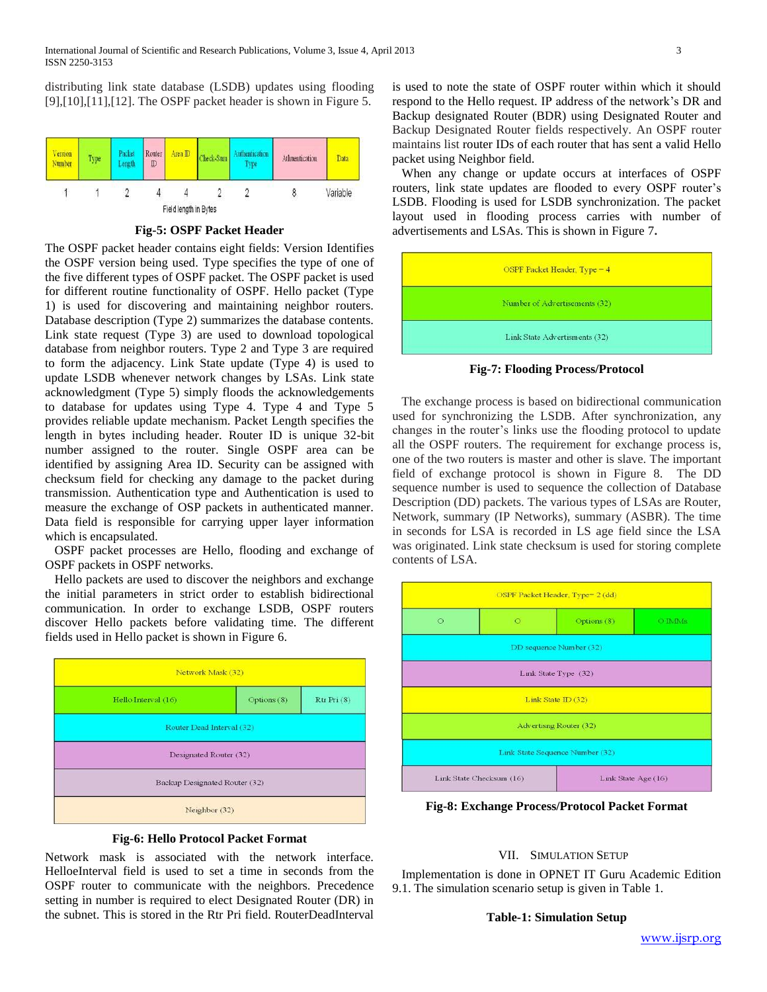distributing link state database (LSDB) updates using flooding [9],[10],[11],[12]. The OSPF packet header is shown in Figure 5.



**Fig-5: OSPF Packet Header**

The OSPF packet header contains eight fields: Version Identifies the OSPF version being used. Type specifies the type of one of the five different types of OSPF packet. The OSPF packet is used for different routine functionality of OSPF. Hello packet (Type 1) is used for discovering and maintaining neighbor routers. Database description (Type 2) summarizes the database contents. Link state request (Type 3) are used to download topological database from neighbor routers. Type 2 and Type 3 are required to form the adjacency. Link State update (Type 4) is used to update LSDB whenever network changes by LSAs. Link state acknowledgment (Type 5) simply floods the acknowledgements to database for updates using Type 4. Type 4 and Type 5 provides reliable update mechanism. Packet Length specifies the length in bytes including header. Router ID is unique 32-bit number assigned to the router. Single OSPF area can be identified by assigning Area ID. Security can be assigned with checksum field for checking any damage to the packet during transmission. Authentication type and Authentication is used to measure the exchange of OSP packets in authenticated manner. Data field is responsible for carrying upper layer information which is encapsulated.

 OSPF packet processes are Hello, flooding and exchange of OSPF packets in OSPF networks.

 Hello packets are used to discover the neighbors and exchange the initial parameters in strict order to establish bidirectional communication. In order to exchange LSDB, OSPF routers discover Hello packets before validating time. The different fields used in Hello packet is shown in Figure 6.





Network mask is associated with the network interface. HelloeInterval field is used to set a time in seconds from the OSPF router to communicate with the neighbors. Precedence setting in number is required to elect Designated Router (DR) in the subnet. This is stored in the Rtr Pri field. RouterDeadInterval

is used to note the state of OSPF router within which it should respond to the Hello request. IP address of the network's DR and Backup designated Router (BDR) using Designated Router and Backup Designated Router fields respectively. An OSPF router maintains list router IDs of each router that has sent a valid Hello packet using Neighbor field.

 When any change or update occurs at interfaces of OSPF routers, link state updates are flooded to every OSPF router's LSDB. Flooding is used for LSDB synchronization. The packet layout used in flooding process carries with number of advertisements and LSAs. This is shown in Figure 7**.** 



**Fig-7: Flooding Process/Protocol**

 The exchange process is based on bidirectional communication used for synchronizing the LSDB. After synchronization, any changes in the router's links use the flooding protocol to update all the OSPF routers. The requirement for exchange process is, one of the two routers is master and other is slave. The important field of exchange protocol is shown in Figure 8. The DD sequence number is used to sequence the collection of Database Description (DD) packets. The various types of LSAs are Router, Network, summary (IP Networks), summary (ASBR). The time in seconds for LSA is recorded in LS age field since the LSA was originated. Link state checksum is used for storing complete contents of LSA.



**Fig-8: Exchange Process/Protocol Packet Format**

## VII. SIMULATION SETUP

 Implementation is done in OPNET IT Guru Academic Edition 9.1. The simulation scenario setup is given in Table 1.

**Table-1: Simulation Setup**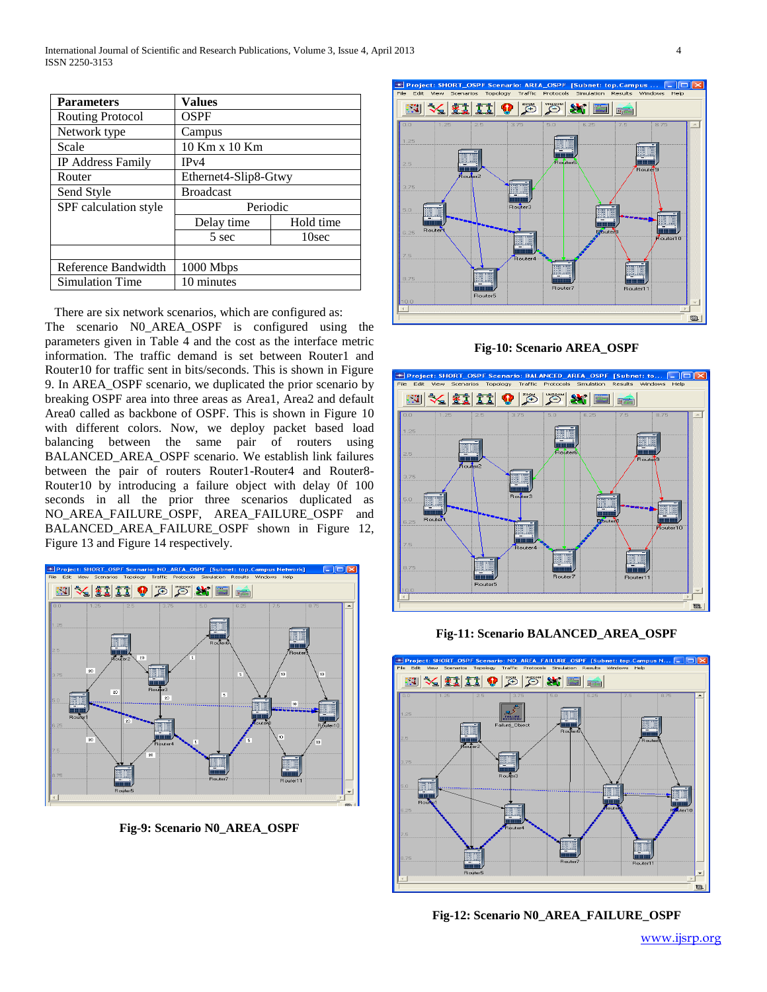International Journal of Scientific and Research Publications, Volume 3, Issue 4, April 2013 4 ISSN 2250-3153

| <b>Parameters</b>       | <b>Values</b>        |           |
|-------------------------|----------------------|-----------|
| <b>Routing Protocol</b> | OSPF                 |           |
| Network type            | Campus               |           |
| Scale                   | 10 Km x 10 Km        |           |
| IP Address Family       | IPv4                 |           |
| Router                  | Ethernet4-Slip8-Gtwy |           |
| Send Style              | <b>Broadcast</b>     |           |
| SPF calculation style   | Periodic             |           |
|                         | Delay time           | Hold time |
|                         | 5 sec                | 10sec     |
|                         |                      |           |
| Reference Bandwidth     | 1000 Mbps            |           |
| <b>Simulation Time</b>  | 10 minutes           |           |

 There are six network scenarios, which are configured as: The scenario N0\_AREA\_OSPF is configured using the parameters given in Table 4 and the cost as the interface metric information. The traffic demand is set between Router1 and Router10 for traffic sent in bits/seconds. This is shown in Figure 9. In AREA\_OSPF scenario, we duplicated the prior scenario by breaking OSPF area into three areas as Area1, Area2 and default Area0 called as backbone of OSPF. This is shown in Figure 10 with different colors. Now, we deploy packet based load balancing between the same pair of routers using BALANCED\_AREA\_OSPF scenario. We establish link failures between the pair of routers Router1-Router4 and Router8- Router10 by introducing a failure object with delay 0f 100 seconds in all the prior three scenarios duplicated as NO\_AREA\_FAILURE\_OSPF, AREA\_FAILURE\_OSPF and BALANCED\_AREA\_FAILURE\_OSPF shown in Figure 12, Figure 13 and Figure 14 respectively.



**Fig-9: Scenario N0\_AREA\_OSPF**



**Fig-10: Scenario AREA\_OSPF**



**Fig-11: Scenario BALANCED\_AREA\_OSPF**



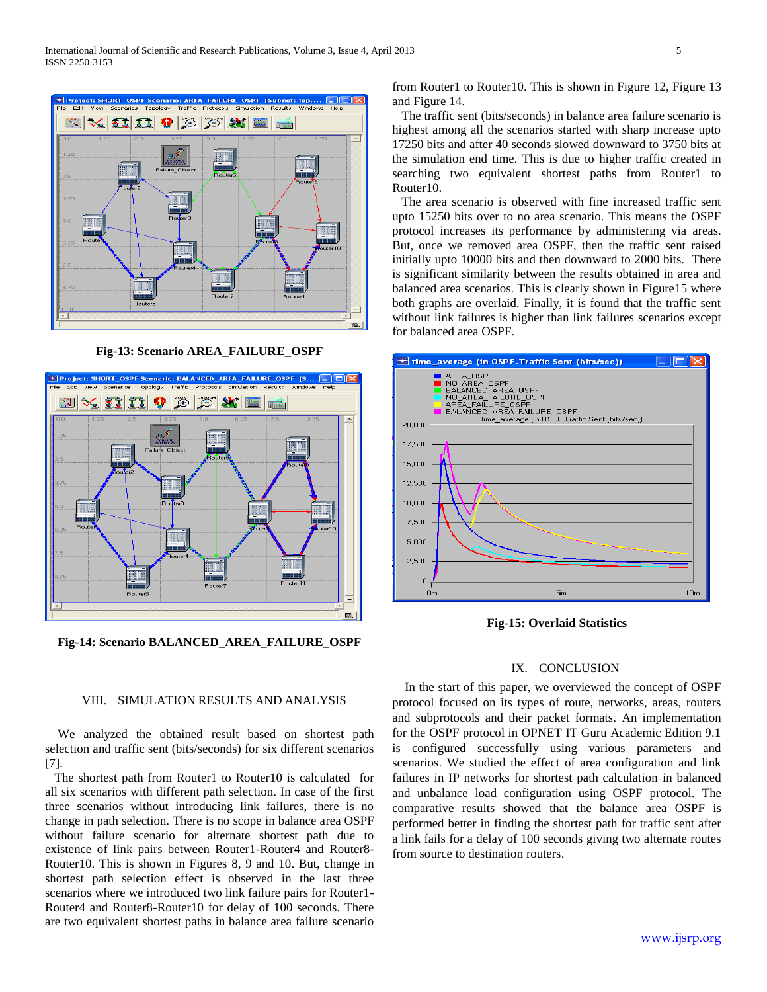

**Fig-13: Scenario AREA\_FAILURE\_OSPF**



**Fig-14: Scenario BALANCED\_AREA\_FAILURE\_OSPF**

from Router1 to Router10. This is shown in Figure 12, Figure 13 and Figure 14.

 The traffic sent (bits/seconds) in balance area failure scenario is highest among all the scenarios started with sharp increase upto 17250 bits and after 40 seconds slowed downward to 3750 bits at the simulation end time. This is due to higher traffic created in searching two equivalent shortest paths from Router1 to Router10.

 The area scenario is observed with fine increased traffic sent upto 15250 bits over to no area scenario. This means the OSPF protocol increases its performance by administering via areas. But, once we removed area OSPF, then the traffic sent raised initially upto 10000 bits and then downward to 2000 bits. There is significant similarity between the results obtained in area and balanced area scenarios. This is clearly shown in Figure15 where both graphs are overlaid. Finally, it is found that the traffic sent without link failures is higher than link failures scenarios except for balanced area OSPF.



**Fig-15: Overlaid Statistics**

#### IX. CONCLUSION

## VIII. SIMULATION RESULTS AND ANALYSIS

 We analyzed the obtained result based on shortest path selection and traffic sent (bits/seconds) for six different scenarios [7].

The shortest path from Router1 to Router10 is calculated for all six scenarios with different path selection. In case of the first three scenarios without introducing link failures, there is no change in path selection. There is no scope in balance area OSPF without failure scenario for alternate shortest path due to existence of link pairs between Router1-Router4 and Router8- Router10. This is shown in Figures 8, 9 and 10. But, change in shortest path selection effect is observed in the last three scenarios where we introduced two link failure pairs for Router1- Router4 and Router8-Router10 for delay of 100 seconds. There are two equivalent shortest paths in balance area failure scenario

In the start of this paper, we overviewed the concept of OSPF protocol focused on its types of route, networks, areas, routers and subprotocols and their packet formats. An implementation for the OSPF protocol in OPNET IT Guru Academic Edition 9.1 is configured successfully using various parameters and scenarios. We studied the effect of area configuration and link failures in IP networks for shortest path calculation in balanced and unbalance load configuration using OSPF protocol. The comparative results showed that the balance area OSPF is performed better in finding the shortest path for traffic sent after a link fails for a delay of 100 seconds giving two alternate routes from source to destination routers.